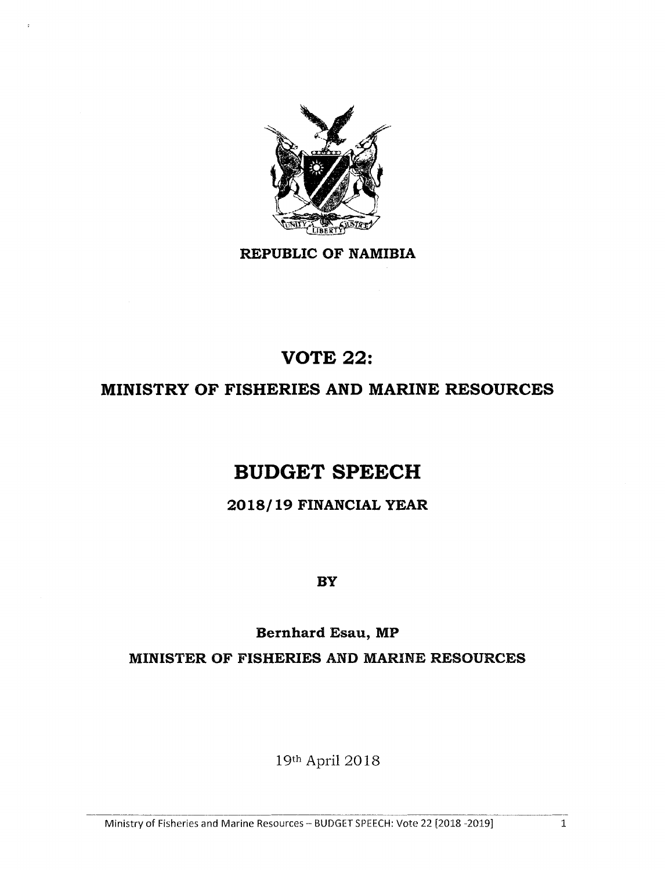

**REPUBLIC OF NAMIBIA**

# **VOTE 22:**

### **MINISTRY OF FISHERIES AND MARINE RESOURCES**

# **BUDGET SPEECH**

### **2018/19 FINANCIAL YEAR**

**BY**

# **Bernhard Esau, MP**

**MINISTER OF FISHERIES AND MARINE RESOURCES**

19th April 2018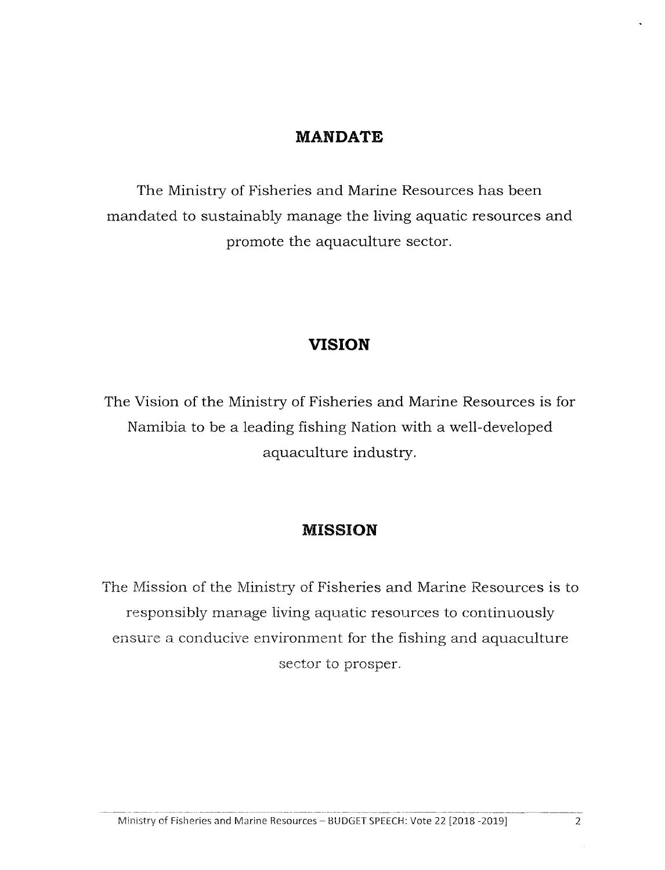### **MANDATE**

The Ministry of Fisheries and Marine Resources has been mandated to sustainably manage the living aquatic resources and promote the aquaculture sector.

### **VISION**

The Vision of the Ministry of Fisheries and Marine Resources is for Namibia to be a leading fishing Nation with a well-developed aquaculture industry.

### **MISSION**

The Mission of the Ministry of Fisheries and Marine Resources is to responsibly manage living aquatic resources to continuously ensure a conducive environment for the fishing and aquaculture sector to prosper.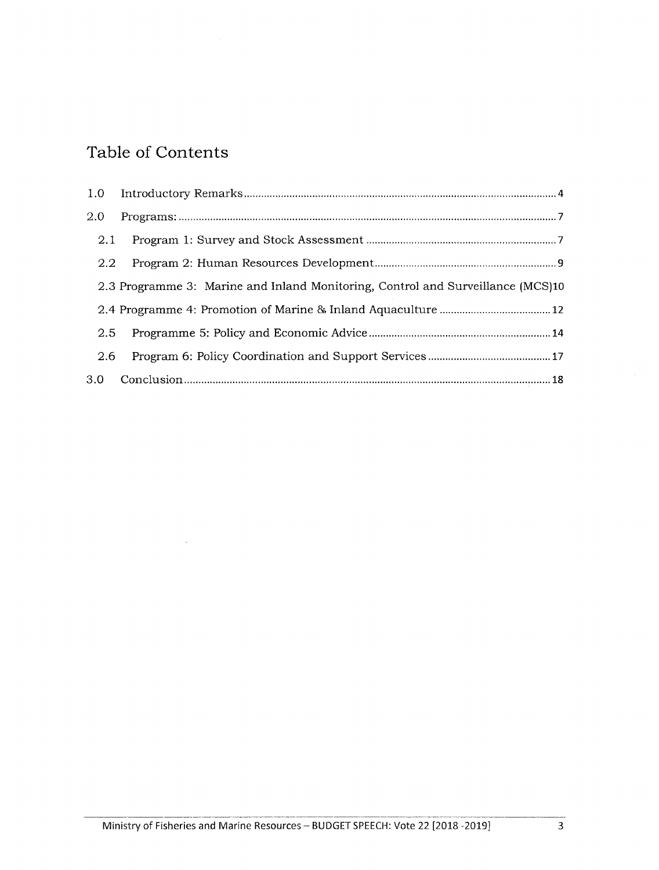### **Table of Contents**

 $\bar{z}$ 

| 2.0 |                                                                                 |
|-----|---------------------------------------------------------------------------------|
| 2.1 |                                                                                 |
| 2.2 |                                                                                 |
|     | 2.3 Programme 3: Marine and Inland Monitoring, Control and Surveillance (MCS)10 |
|     |                                                                                 |
| 2.5 |                                                                                 |
| 2.6 |                                                                                 |
|     |                                                                                 |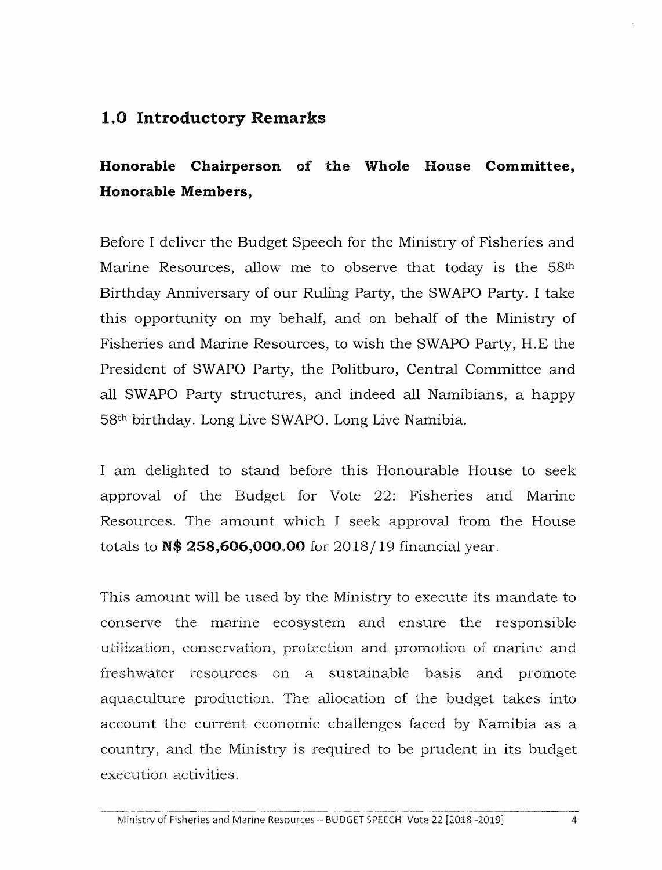### 1.0 Introductory Remarks

# Honorable Chairperson of the Whole House Committee, Honorable Members,

Before I deliver the Budget Speech for the Ministry of Fisheries and Marine Resources, allow me to observe that today is the 58<sup>th</sup> Birthday Anniversary of our Ruling Party, the SWAPO Party. I take this opportunity on my behalf, and on behalf of the Ministry of Fisheries and Marine Resources, to wish the SWAPO Party, H.E the President of SWAPO Party, the Politburo, Central Committee and all SWAPO Party structures, and indeed all Namibians, a happy 58<sup>th</sup> birthday. Long Live SWAPO. Long Live Namibia.

I am delighted to stand before this Honourable House to seek approval of the Budget for Vote 22: Fisheries and Marine Resources. The amount which I seek approval from the House totals to N\$ 258,606,000.00 for 2018/19 financial year.

This amount will be used by the Ministry to execute its mandate to conserve the marine ecosystem and ensure the responsible utilization, conservation, protection and promotion of marine and freshwater resources on a sustainable basis and promote aquaculture production. The allocation of the budget takes into account the current economic challenges faced by Namibia as a country, and the Ministry is required to be prudent in its budget execution activities.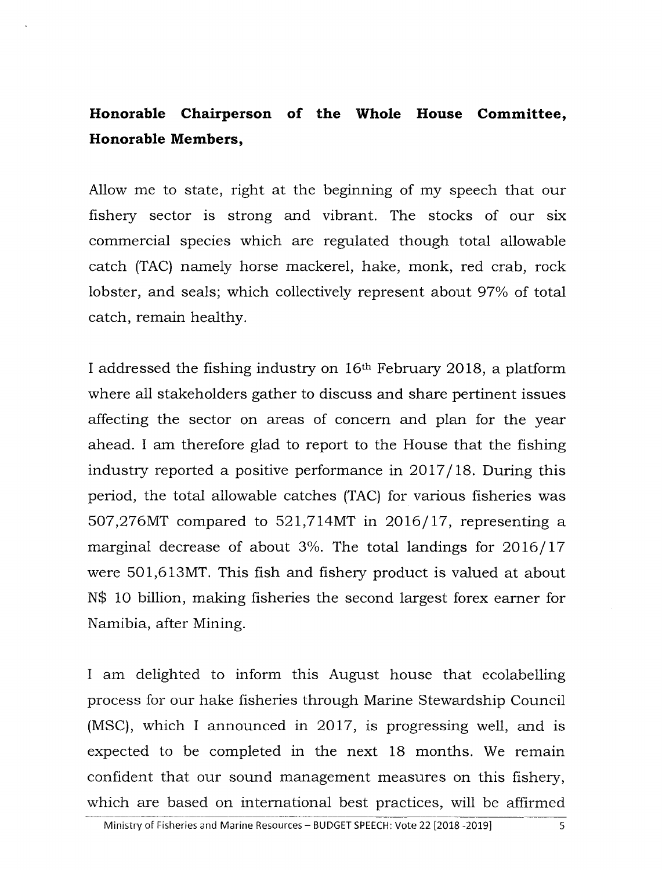### **Honorable Chairperson of the Whole House Committee, Honorable Members,**

Allow me to state, right at the beginning of my speech that our fishery sector is strong and vibrant. The stocks of our six commercial species which are regulated though total allowable catch (TAC) namely horse mackerel, hake, monk, red crab, rock lobster, and seals; which collectively represent about 97% of total catch, remain healthy.

I addressed the fishing industry on 16th February 2018, a platform where all stakeholders gather to discuss and share pertinent issues affecting the sector on areas of concern and plan for the year ahead. I am therefore glad to report to the House that the fishing industry reported a positive performance in 2017/18. During this period, the total allowable catches (TAC) for various fisheries was 507,276MT compared to 521,714MT in 2016/17, representing a marginal decrease of about 3%. The total landings for 2016/17 were 501,613MT. This fish and fishery product is valued at about N\$ 10 billion, making fisheries the second largest forex earner for Namibia, after Mining.

I am delighted to inform this August house that ecolabelling process for our hake fisheries through Marine Stewardship Council (MSC), which I announced in 2017, is progressing well, and is expected to be completed in the next 18 months. We remain confident that our sound management measures on this fishery, which are based on international best practices, will be affirmed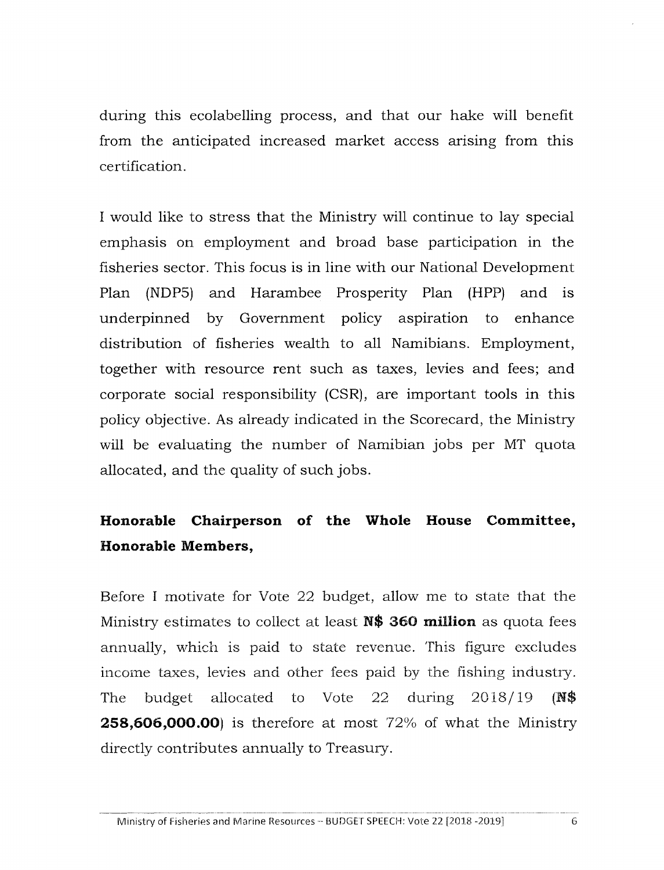during this ecolabelling process, and that our hake will benefit from the anticipated increased market access arising from this certification.

I would like to stress that the Ministry will continue to lay special emphasis on employment and broad base participation in the fisheries sector. This focus is in line with our National Development Plan (NDP5) and Harambee Prosperity Plan (HPP) and is underpinned by Government policy aspiration to enhance distribution of fisheries wealth to all Namibians. Employment, together with resource rent such as taxes, levies and fees; and corporate social responsibility (CSR), are important tools in this policy objective. As already indicated in the Scorecard, the Ministry will be evaluating the number of Namibian jobs per MT quota allocated, and the quality of such jobs.

# **Honorable Chairperson of the Whole House Committee, Honorable Members,**

Before I motivate for Vote 22 budget, allow me to state that the Ministry estimates to collect at least **N\$** 360 **million** as quota fees annually, which is paid to state revenue. This figure excludes income taxes, levies and other fees paid by the fishing industry. The budget allocated to Vote 22 during 2018/19 (NS **258,606,000.00**) is therefore at most 72% of what the Ministry directly contributes annually to Treasury.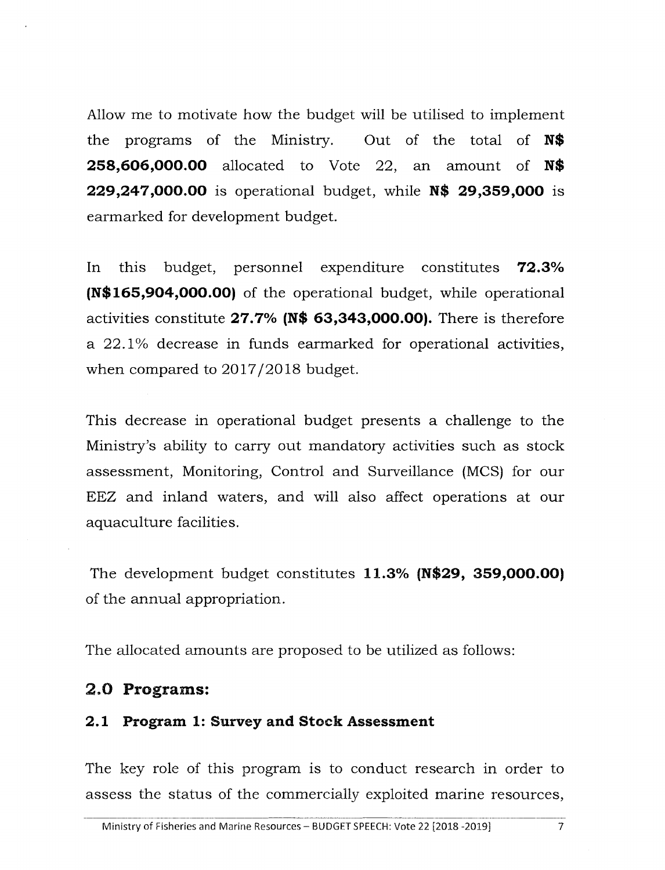Allowme to motivate how the budget will be utilised to implement the programs of the Ministry. Out of the total of **N\$ 258,606,000.00** allocated to Vote 22, an amount of **N\$ 229,247,000.00** is operational budget, while **N\$ 29,359,000** is earmarked for development budget.

In this budget, personnel expenditure constitutes **72.3% (N\$165,904,000.00)** of the operational budget, while operational activities constitute **27.7% (N\$ 63,343,000.00).** There is therefore a 22.1 % decrease in funds earmarked for operational activities, when compared to 2017/2018 budget.

This decrease in operational budget presents a challenge to the Ministry's ability to carry out mandatory activities such as stock assessment, Monitoring, Control and Surveillance (MCS) for our EEZ and inland waters, and will also affect operations at our aquaculture facilities.

The development budget constitutes **11.3% (N\$29, 359,000.00)** of the annual appropriation.

The allocated amounts are proposed to be utilized as follows:

#### 2.0 **Programs:**

#### **2.1 Program 1: Survey and Stock Assessment**

The key role of this program is to conduct research in order to assess the status of the commercially exploited marine resources,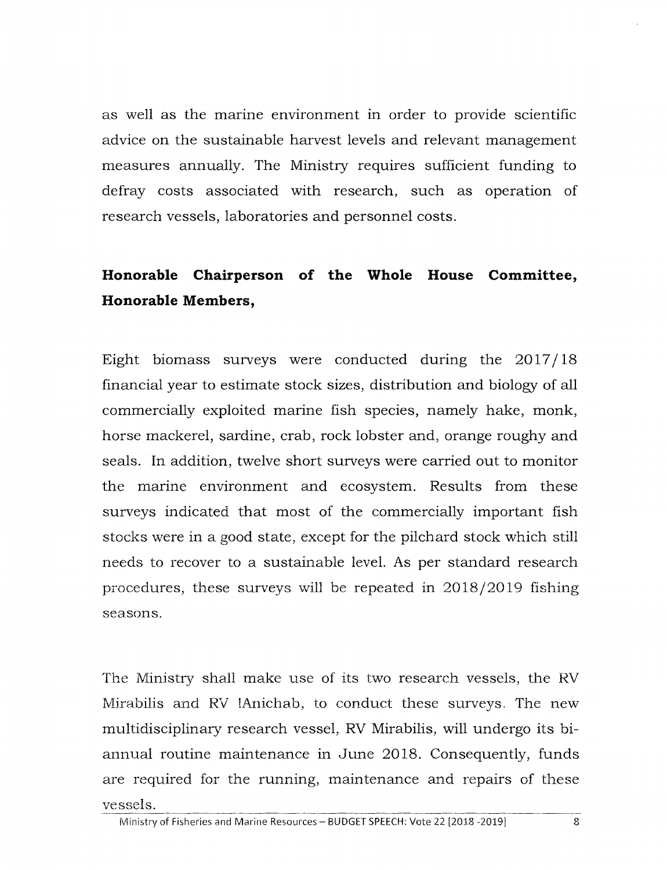as well as the marine environment in order to provide scientific advice on the sustainable harvest levels and relevant management measures annually. The Ministry requires sufficient funding to defray costs associated with research, such as operation of research vessels, laboratories and personnel costs.

## **Honorable Chairperson of the Whole House Committee, Honorable Members,**

Eight biomass surveys were conducted during the 2017/18 financial year to estimate stock sizes, distribution and biology of all commercially exploited marine fish species, namely hake, monk, horse mackerel, sardine, crab, rock lobster and, orange roughy and seals. **In** addition, twelve short surveys were carried out to monitor the marine environment and ecosystem. Results from these surveys indicated that most of the commercially important fish stocks were in a good state, except for the pilchard stock which still needs to recover to a sustainable level. As per standard research procedures, these surveys will be repeated in 2018/2019 fishing seasons.

The Ministry shall make use of its two research vessels, the RV Mirabilis and RV !Anichab, to conduct these surveys. The new multidisciplinary research vessel, RV Mirabilis, will undergo its biannual routine maintenance in June 2018. Consequently, funds are required for the running, maintenance and repairs of these vessels. --------.~~~-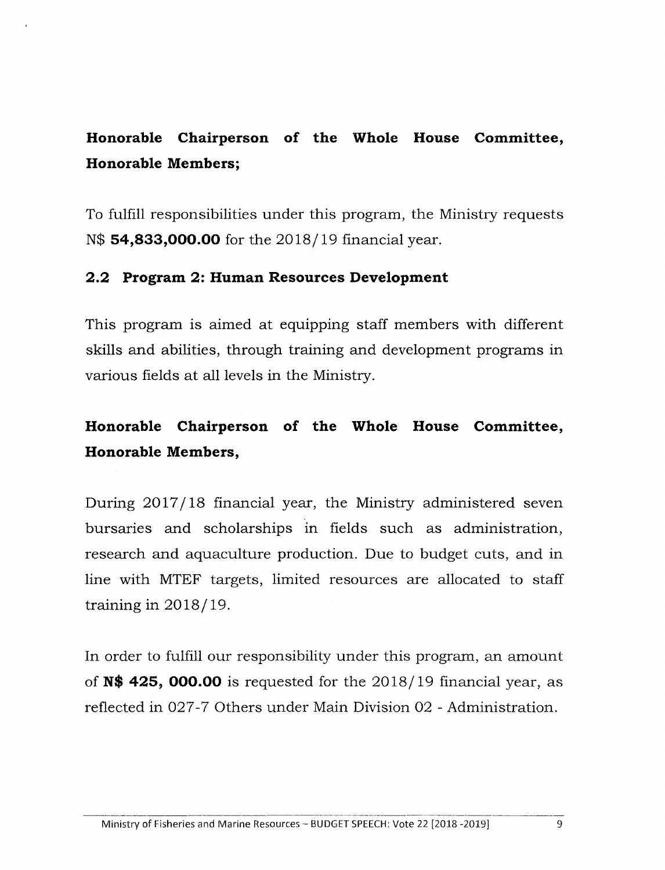# **Honorable Chairperson of the Whole House Committee, Honorable Members;**

To fulfill responsibilities under this program, the Ministry requests N\$ **54,833,000.00** for the 2018/19 financial year.

#### **2.2 Program 2: Human Resources Development**

This program is aimed at equipping staff members with different skills and abilities, through training and development programs in various fields at all levels in the Ministry.

## **Honorable Chairperson of the Whole House Committee, Honorable Members,**

During 2017/18 financial year, the Ministry administered seven bursaries and scholarships in fields such as administration, research and aquaculture production. Due to budget cuts, and in line with MTEF targets, limited resources are allocated to staff training in 2018/19.

In order to fulfill our responsibility under this program, an amount of **N\$ 425, 000.00** is requested for the 2018/19 financial year, as reflected in 027-7 Others under Main Division 02 - Administration.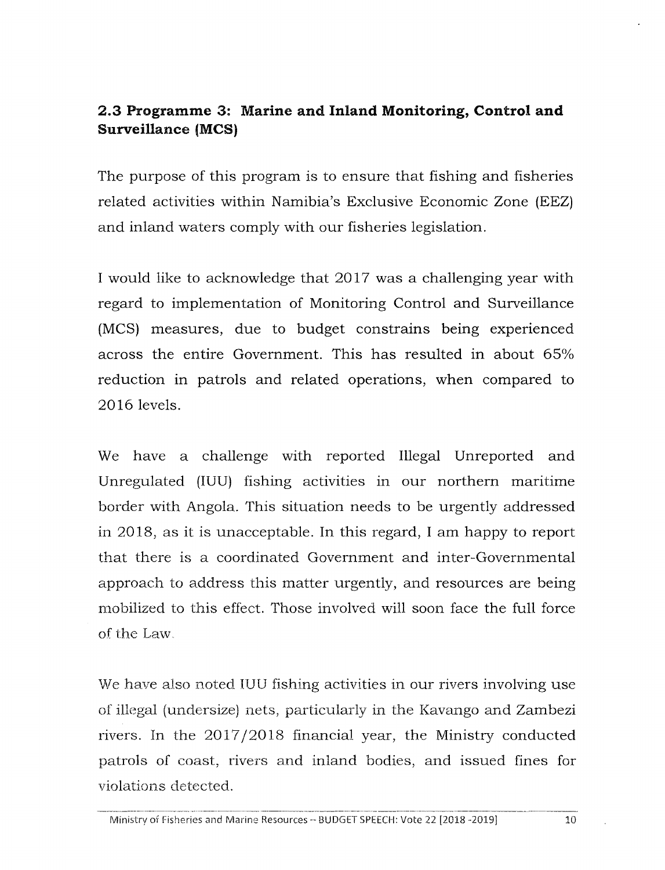### **2.3 Programme 3: Marine and Inland Monitoring, Control and Surveillance (MCS)**

The purpose of this program is to ensure that fishing and fisheries related activities within Namibia's Exclusive Economic Zone (EEZ) and inland waters comply with our fisheries legislation.

I would like to acknowledge that 2017 was a challenging year with regard to implementation of Monitoring Control and Surveillance (MCS) measures, due to budget constrains being experienced across the entire Government. This has resulted in about 65% reduction in patrols and related operations, when compared to 2016 levels.

We have a challenge with reported Illegal Unreported and Unregulated (IUU) fishing activities in our northern maritime border with Angola. This situation needs to be urgently addressed in 2018, as it is unacceptable. In this regard, I am happy to report that there is a coordinated Government and inter-Governmental approach to address this matter urgently, and resources are being mobilized to this effect. Those involved will soon face the full force of the Law.

We have also noted IUU fishing activities in our rivers involving use of illegal (undersize) nets, particularly in the Kavango and Zambezi rivers. In the 2017/2018 financial year, the Ministry conducted patrols of coast, rivers and inland bodies, and issued fines for violations detected.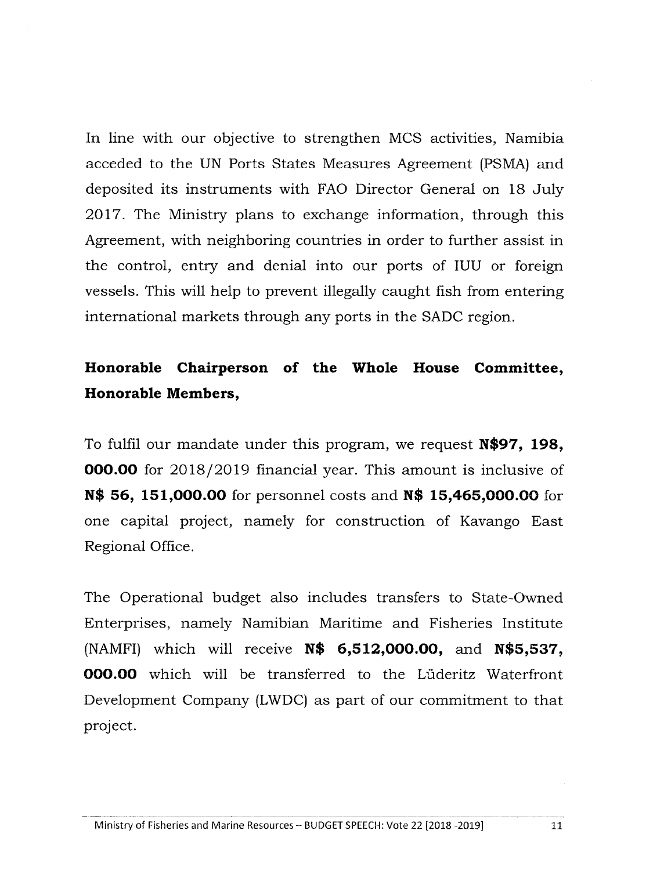In line with our objective to strengthen MCS activities, Namibia acceded to the UN Ports States Measures Agreement (PSMA) and deposited its instruments with FAO Director General on 18 July 2017. The Ministry plans to exchange information, through this Agreement, with neighboring countries in order to further assist in the control, entry and denial into our ports of IUU or foreign vessels. This will help to prevent illegally caught fish from entering international markets through any ports in the SADC region.

## **Honorable Chairperson of the Whole House Committee, Honorable Members,**

To fulfil our mandate under this program, we request **N\$97, 198, 000.00** for 2018/2019 financial year. This amount is inclusive of **N\$ 56, 151,000.00** for personnel costs and **N\$ 15,465,000.00** for one capital project, namely for construction of Kavango East Regional Office.

The Operational budget also includes transfers to State-Owned Enterprises, namely Namibian Maritime and Fisheries Institute (NAMFI) which will receive **N\$ 6,512,000.00,** and **N\$5,537, 000.00** which will be transferred to the Lüderitz Waterfront Development Company (LWDC) as part of our commitment to that project.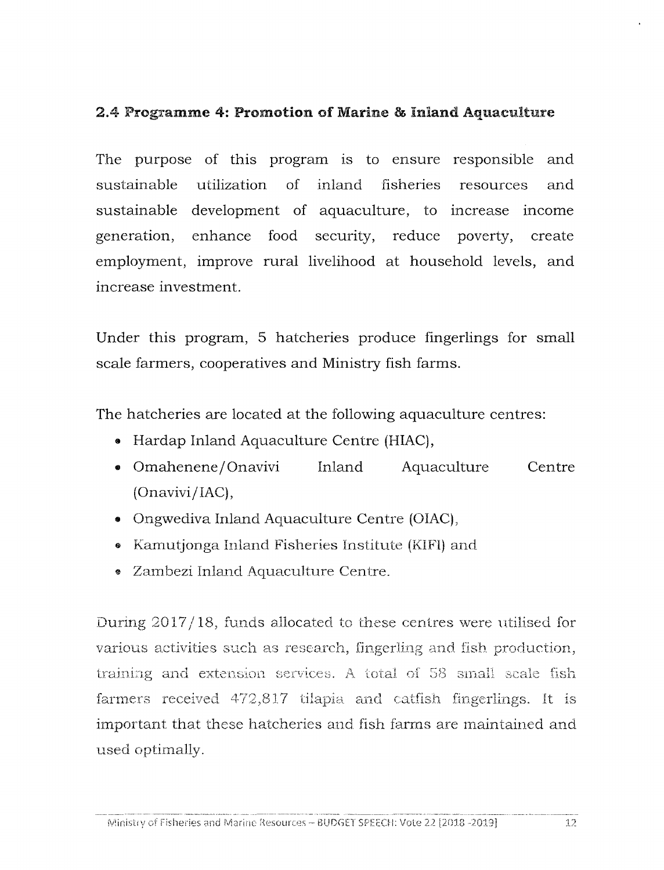#### 2.4 Programme 4: Promotion of Marine & inland Aquaculture

The purpose of this program is to ensure responsible and sustainable utilization of inland fisheries resources and sustainable development of aquaculture, to increase income generation, enhance food security, reduce poverty, create employment, improve rural livelihood at household levels, and increase investment.

Under this program, 5 hatcheries produce fingerlings for small scale farmers, cooperatives and Ministry fish farms.

The hatcheries are located at the following aquaculture centres:

- Hardap Inland Aquaculture Centre (HIAC),
- Omahenene *j* Onavivi  $(Onavivi/IAC),$ Inland Aquaculture Centre
- Ongwediva Inland Aquaculture Centre (OIAC),
- Kamutionga Inland Fisheries Institute (KIFI) and
- e Zambezi Inland Aquaculture Centre.

During 2017/18, funds allocated to these centres were utilised for various activities such as research, fingerling and fish production, training and extension services. A total of 58 small scale fish farmers received 472,817 tilapia and catfish fingerlings. It is important that these hatcheries and fish farms are maintained and used optimally.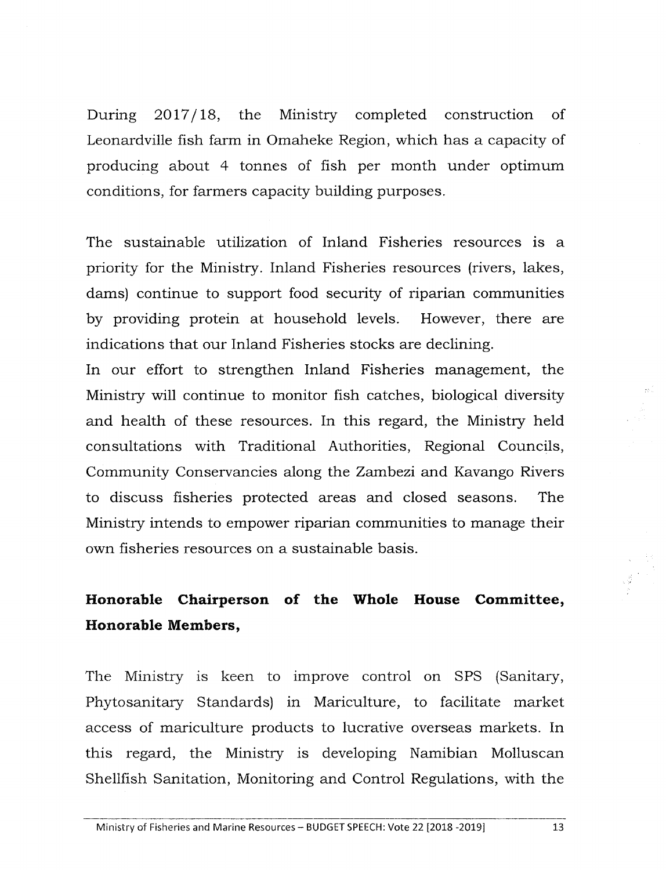During 2017/18, the Ministry completed construction of Leonardville fish farm in Omaheke Region, which has a capacity of producing about 4 tonnes of fish per month under optimum conditions, for farmers capacity building purposes.

The sustainable utilization of Inland Fisheries resources is a priority for the Ministry. Inland Fisheries resources (rivers, lakes, dams) continue to support food security of riparian communities by providing protein at household levels. However, there are indications that our Inland Fisheries stocks are declining.

In our effort to strengthen Inland Fisheries management, the Ministry will continue to monitor fish catches, biological diversity and health of these resources. In this regard, the Ministry held consultations with Traditional Authorities, Regional Councils, Community Conservancies along the Zambezi and Kavango Rivers to discuss fisheries protected areas and closed seasons. The Ministry intends to empower riparian communities to manage their own fisheries resources on a sustainable basis.

## **Hanorable Chairperson of the Whole House Committee, Honorable Members,**

The Ministry is keen to improve control on SPS (Sanitary, Phytosanitary Standards) in Mariculture, to facilitate market access of mariculture products to lucrative overseas markets. In this regard, the Ministry is developing Namibian Molluscan Shellfish Sanitation, Monitoring and Control Regulations, with the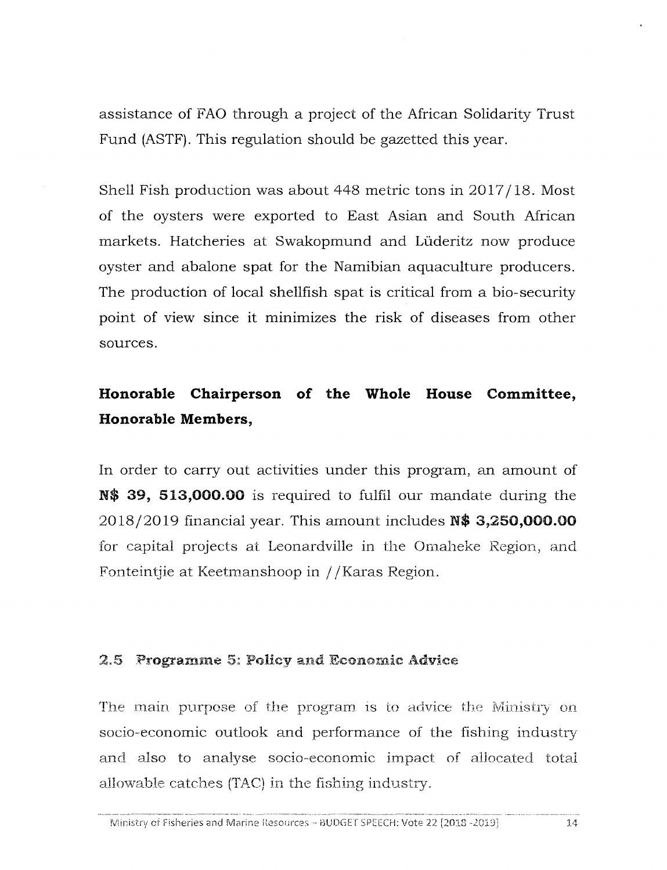assistance of FAO through a project of the African Solidarity Trust Fund (ASTF). This regulation should be gazetted this year.

Shell Fish production was about 448 metric tons in 2017/18. Most of the oysters were exported to East Asian and South African markets. Hatcheries at Swakopmund and Luderitz now produce oyster and abalone spat for the Namibian aquaculture producers. The production of local shellfish spat is critical from a bio-security point of view since it minimizes the risk of diseases from other sources.

### **Honorable Chairperson of the Whole House Committee, Honorable Members,**

In order to carry out activities under this program, an amount of N\$ 39, 513,000.00 is required to fulfil our mandate during the 2018/2019 financial year. This amount includes N\$ 3,250,000.00 for capital projects at Leonardville in the Omaheke Region, and Fonteintjie at Keetmanshoop in //Karas Region.

#### $2.5$  Programme 5: Policy and Economic Advice

The main purpose of the program is to advice the Ministry on socio-economic outlook and performance of the fishing industry and also to analyse socio-economic impact of allocated total allowable catches (TAC) in the fishing industry.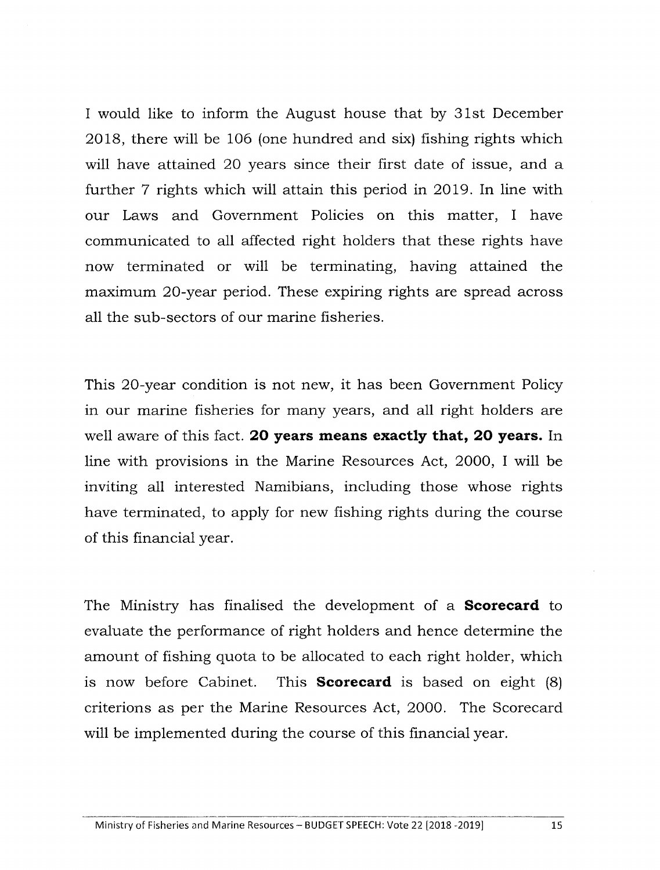I would like to inform the August house that by 31st December 2018, there will be 106 (one hundred and six) fishing rights which will have attained 20 years since their first date of issue, and a further 7 rights which will attain this period in 2019. In line with our Laws and Government Policies on this matter, I have communicated to all affected right holders that these rights have now terminated or will be terminating, having attained the maximum 20-year period. These expiring rights are spread across all the sub-sectors of our marine fisheries.

This 20-year condition is not new, it has been Government Policy in our marine fisheries for many years, and all right holders are well aware of this fact. **20 years means exactly that, 20 years.** In line with provisions in the Marine Resources Act, 2000, I will be inviting all interested Namibians, including those whose rights have terminated, to apply for new fishing rights during the course of this financial year.

The Ministry has finalised the development of a **Scorecard** to evaluate the performance of right holders and hence determine the amount of fishing quota to be allocated to each right holder, which is now before Cabinet. This **Scorecard** is based on eight (8) criterions as per the Marine Resources Act, 2000. The Scorecard will be implemented during the course of this financial year.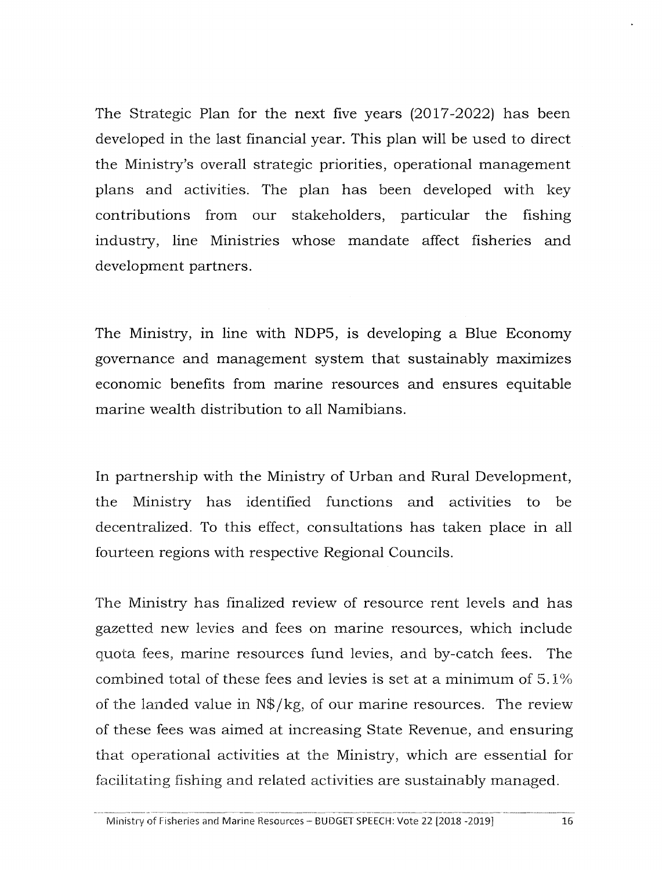The Strategic Plan for the next five years (2017-2022) has been developed in the last financial year. This plan will be used to direct the Ministry'S overall strategic priorities, operational management plans and activities. The plan has been developed with key contributions from our stakeholders, particular the fishing industry, line Ministries whose mandate affect fisheries and development partners.

The Ministry, in line with NDP5, is developing a Blue Economy governance and management system that sustainably maximizes economic benefits from marine resources and ensures equitable marine wealth distribution to all Namibians.

In partnership with the Ministry of Urban and Rural Development, the Ministry has identified functions and activities to be decentralized. To this effect, consultations has taken place in all fourteen regions with respective Regional Councils.

The Ministry has finalized review of resource rent levels and has gazetted new levies and fees on marine resources, which include quota fees, marine resources fund levies, and by-catch fees. The combined total of these fees and levies is set at a minimum of 5.1% of the landed value in N\$/kg, of our marine resources. The review of these fees was aimed at increasing State Revenue, and ensuring that operational activities at the Ministry, which are essential for facilitating fishing and related activities are sustainably managed.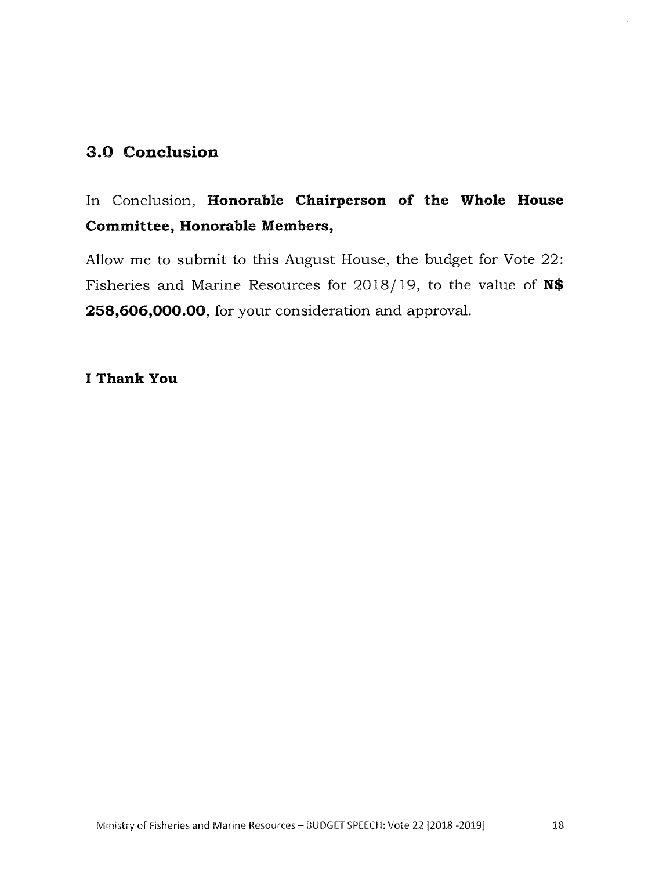### **3.0 Conclusion**

# In Conclusion, Honorable Chairperson of the Whole House **Committee, Honorable Members,**

Allow me to submit to this August House, the budget for Vote 22: Fisheries and Marine Resources for 2018/ 19, to the value of **N\$ 258,606,000.00,** for your consideration and approval.

#### **I Thank You**